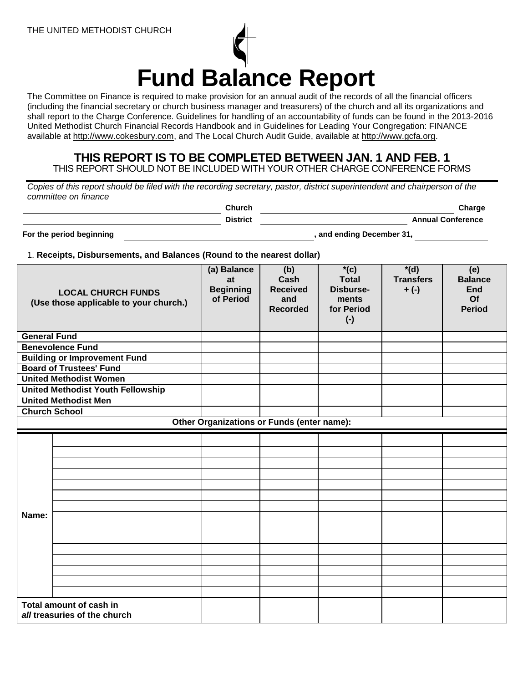

The Committee on Finance is required to make provision for an annual audit of the records of all the financial officers (including the financial secretary or church business manager and treasurers) of the church and all its organizations and shall report to the Charge Conference. Guidelines for handling of an accountability of funds can be found in the 2013-2016 United Methodist Church Financial Records Handbook and in Guidelines for Leading Your Congregation: FINANCE available at [http://www.cokesbury.com,](http://www.cokesbury.com/) and The Local Church Audit Guide, available at [http://www.gcfa.org.](http://www.gcfa.org/)

**THIS REPORT IS TO BE COMPLETED BETWEEN JAN. 1 AND FEB. 1** THIS REPORT SHOULD NOT BE INCLUDED WITH YOUR OTHER CHARGE CONFERENCE FORMS

*Copies of this report should be filed with the recording secretary, pastor, district superintendent and chairperson of the committee on finance*

**Church Church Church Charge Charge Charge District CONFIDENTIAL CONFERENCE**<br> **District Annual Conference** 

**For the period beginning the set of the period beginning the set of the set of the set of the set of the set of the set of the set of the set of the set of the set of the set of the set of the set of the set of the set of** 

1. **Receipts, Disbursements, and Balances (Round to the nearest dollar)**

| <b>LOCAL CHURCH FUNDS</b><br>(Use those applicable to your church.) |                                          | (a) Balance<br>at<br><b>Beginning</b><br>of Period | (b)<br>Cash<br><b>Received</b><br>and<br><b>Recorded</b> | $*(c)$<br><b>Total</b><br>Disburse-<br>ments<br>for Period<br>$(\cdot)$ | $*(d)$<br><b>Transfers</b><br>$+(-)$ | (e)<br><b>Balance</b><br><b>End</b><br>Of<br><b>Period</b> |
|---------------------------------------------------------------------|------------------------------------------|----------------------------------------------------|----------------------------------------------------------|-------------------------------------------------------------------------|--------------------------------------|------------------------------------------------------------|
| <b>General Fund</b>                                                 |                                          |                                                    |                                                          |                                                                         |                                      |                                                            |
| <b>Benevolence Fund</b>                                             |                                          |                                                    |                                                          |                                                                         |                                      |                                                            |
| <b>Building or Improvement Fund</b>                                 |                                          |                                                    |                                                          |                                                                         |                                      |                                                            |
| <b>Board of Trustees' Fund</b>                                      |                                          |                                                    |                                                          |                                                                         |                                      |                                                            |
| <b>United Methodist Women</b>                                       |                                          |                                                    |                                                          |                                                                         |                                      |                                                            |
|                                                                     | <b>United Methodist Youth Fellowship</b> |                                                    |                                                          |                                                                         |                                      |                                                            |
|                                                                     | <b>United Methodist Men</b>              |                                                    |                                                          |                                                                         |                                      |                                                            |
| <b>Church School</b>                                                |                                          |                                                    |                                                          |                                                                         |                                      |                                                            |
|                                                                     |                                          | Other Organizations or Funds (enter name):         |                                                          |                                                                         |                                      |                                                            |
| Name:                                                               |                                          |                                                    |                                                          |                                                                         |                                      |                                                            |
|                                                                     |                                          |                                                    |                                                          |                                                                         |                                      |                                                            |
|                                                                     |                                          |                                                    |                                                          |                                                                         |                                      |                                                            |
|                                                                     |                                          |                                                    |                                                          |                                                                         |                                      |                                                            |
|                                                                     |                                          |                                                    |                                                          |                                                                         |                                      |                                                            |
|                                                                     |                                          |                                                    |                                                          |                                                                         |                                      |                                                            |
|                                                                     |                                          |                                                    |                                                          |                                                                         |                                      |                                                            |
|                                                                     |                                          |                                                    |                                                          |                                                                         |                                      |                                                            |
|                                                                     |                                          |                                                    |                                                          |                                                                         |                                      |                                                            |
|                                                                     |                                          |                                                    |                                                          |                                                                         |                                      |                                                            |
|                                                                     |                                          |                                                    |                                                          |                                                                         |                                      |                                                            |
|                                                                     |                                          |                                                    |                                                          |                                                                         |                                      |                                                            |
|                                                                     |                                          |                                                    |                                                          |                                                                         |                                      |                                                            |
|                                                                     |                                          |                                                    |                                                          |                                                                         |                                      |                                                            |
|                                                                     |                                          |                                                    |                                                          |                                                                         |                                      |                                                            |
| Total amount of cash in<br>all treasuries of the church             |                                          |                                                    |                                                          |                                                                         |                                      |                                                            |